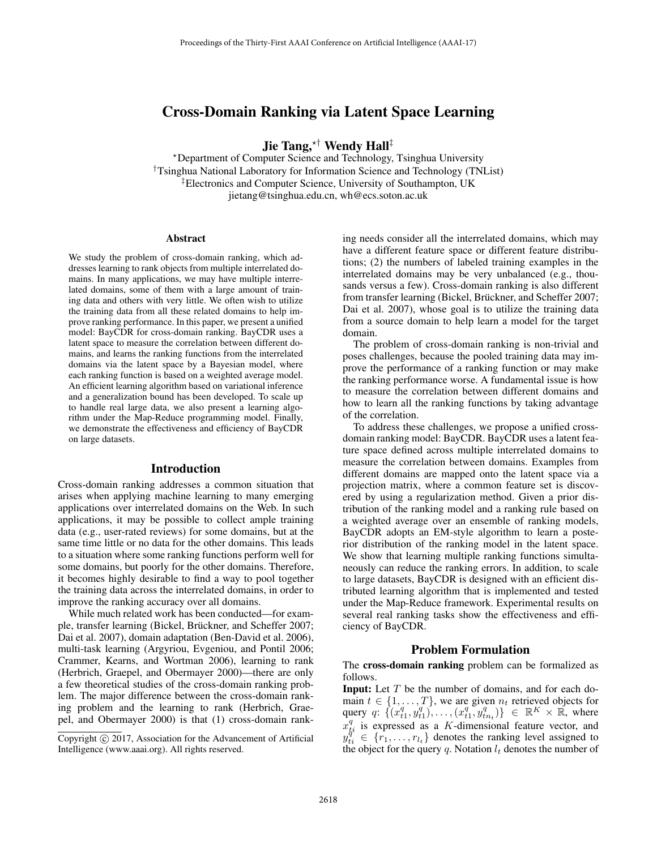# Cross-Domain Ranking via Latent Space Learning

**Jie Tang, \*<sup>†</sup> Wendy Hall**<sup>‡</sup><br>\*Department of Computer Science and Technology, Tsinghua University †Tsinghua National Laboratory for Information Science and Technology (TNList) ‡Electronics and Computer Science, University of Southampton, UK jietang@tsinghua.edu.cn, wh@ecs.soton.ac.uk

#### Abstract

We study the problem of cross-domain ranking, which addresses learning to rank objects from multiple interrelated domains. In many applications, we may have multiple interrelated domains, some of them with a large amount of training data and others with very little. We often wish to utilize the training data from all these related domains to help improve ranking performance. In this paper, we present a unified model: BayCDR for cross-domain ranking. BayCDR uses a latent space to measure the correlation between different domains, and learns the ranking functions from the interrelated domains via the latent space by a Bayesian model, where each ranking function is based on a weighted average model. An efficient learning algorithm based on variational inference and a generalization bound has been developed. To scale up to handle real large data, we also present a learning algorithm under the Map-Reduce programming model. Finally, we demonstrate the effectiveness and efficiency of BayCDR on large datasets.

#### Introduction

Cross-domain ranking addresses a common situation that arises when applying machine learning to many emerging applications over interrelated domains on the Web. In such applications, it may be possible to collect ample training data (e.g., user-rated reviews) for some domains, but at the same time little or no data for the other domains. This leads to a situation where some ranking functions perform well for some domains, but poorly for the other domains. Therefore, it becomes highly desirable to find a way to pool together the training data across the interrelated domains, in order to improve the ranking accuracy over all domains.

While much related work has been conducted—for example, transfer learning (Bickel, Brückner, and Scheffer 2007; Dai et al. 2007), domain adaptation (Ben-David et al. 2006), multi-task learning (Argyriou, Evgeniou, and Pontil 2006; Crammer, Kearns, and Wortman 2006), learning to rank (Herbrich, Graepel, and Obermayer 2000)—there are only a few theoretical studies of the cross-domain ranking problem. The major difference between the cross-domain ranking problem and the learning to rank (Herbrich, Graepel, and Obermayer 2000) is that (1) cross-domain ranking needs consider all the interrelated domains, which may have a different feature space or different feature distributions; (2) the numbers of labeled training examples in the interrelated domains may be very unbalanced (e.g., thousands versus a few). Cross-domain ranking is also different from transfer learning (Bickel, Brückner, and Scheffer 2007; Dai et al. 2007), whose goal is to utilize the training data from a source domain to help learn a model for the target domain.

The problem of cross-domain ranking is non-trivial and poses challenges, because the pooled training data may improve the performance of a ranking function or may make the ranking performance worse. A fundamental issue is how to measure the correlation between different domains and how to learn all the ranking functions by taking advantage of the correlation.

To address these challenges, we propose a unified crossdomain ranking model: BayCDR. BayCDR uses a latent feature space defined across multiple interrelated domains to measure the correlation between domains. Examples from different domains are mapped onto the latent space via a projection matrix, where a common feature set is discovered by using a regularization method. Given a prior distribution of the ranking model and a ranking rule based on a weighted average over an ensemble of ranking models, BayCDR adopts an EM-style algorithm to learn a posterior distribution of the ranking model in the latent space. We show that learning multiple ranking functions simultaneously can reduce the ranking errors. In addition, to scale to large datasets, BayCDR is designed with an efficient distributed learning algorithm that is implemented and tested under the Map-Reduce framework. Experimental results on several real ranking tasks show the effectiveness and efficiency of BayCDR.

#### Problem Formulation

The cross-domain ranking problem can be formalized as follows.

**Input:** Let  $T$  be the number of domains, and for each domain  $t \in \{1, \ldots, T\}$ , we are given  $n_t$  retrieved objects for query q:  $\{(x_{t1}^q, y_{t1}^q), \ldots, (x_{t1}^q, y_{tn_t}^q)\}\in \mathbb{R}^K \times \mathbb{R}$ , where  $x_{ti}^q$  is expressed as a K-dimensional feature vector, and  $y_{ti}^{q^t} \in \{r_1, \ldots, r_{lt}\}\$  denotes the ranking level assigned to the object for the query q. Notation  $l_t$  denotes the number of

Copyright  $\odot$  2017, Association for the Advancement of Artificial Intelligence (www.aaai.org). All rights reserved.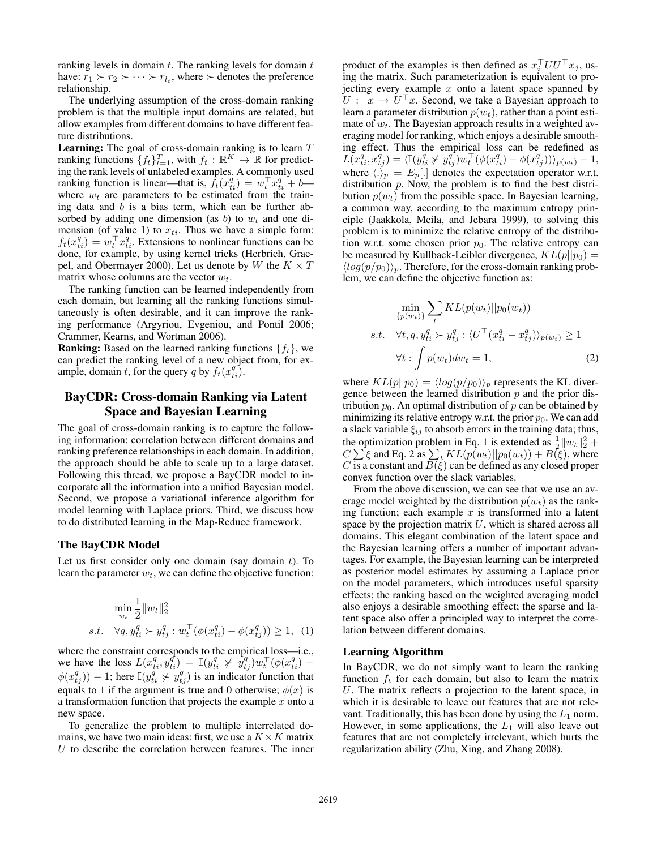ranking levels in domain  $t$ . The ranking levels for domain  $t$ have:  $r_1 \succ r_2 \succ \cdots \succ r_l$ , where  $\succ$  denotes the preference relationship.

The underlying assumption of the cross-domain ranking problem is that the multiple input domains are related, but allow examples from different domains to have different feature distributions.

**Learning:** The goal of cross-domain ranking is to learn  $T$ ranking functions  $\{f_t\}_{t=1}^T$ , with  $f_t : \mathbb{R}^K \to \mathbb{R}$  for predicting the rank levels of unlabeled examples. A commonly used ranking function is linear—that is,  $f_t(x_{ti}^q) = w_t^\top x_{ti}^q + b$  where  $w_t$  are parameters to be estimated from the training data and  $b$  is a bias term, which can be further absorbed by adding one dimension (as b) to  $w_t$  and one dimension (of value 1) to  $x_{ti}$ . Thus we have a simple form:  $f_t(x_{ti}^q) = w_t^\top x_{ti}^q$ . Extensions to nonlinear functions can be done, for example, by using kernel tricks (Herbrich, Graepel, and Obermayer 2000). Let us denote by W the  $K \times T$ matrix whose columns are the vector  $w_t$ .

The ranking function can be learned independently from each domain, but learning all the ranking functions simultaneously is often desirable, and it can improve the ranking performance (Argyriou, Evgeniou, and Pontil 2006; Crammer, Kearns, and Wortman 2006).

**Ranking:** Based on the learned ranking functions  $\{f_t\}$ , we can predict the ranking level of a new object from, for example, domain t, for the query q by  $f_t(x_{ti}^q)$ .

# BayCDR: Cross-domain Ranking via Latent Space and Bayesian Learning

The goal of cross-domain ranking is to capture the following information: correlation between different domains and ranking preference relationships in each domain. In addition, the approach should be able to scale up to a large dataset. Following this thread, we propose a BayCDR model to incorporate all the information into a unified Bayesian model. Second, we propose a variational inference algorithm for model learning with Laplace priors. Third, we discuss how to do distributed learning in the Map-Reduce framework.

# The BayCDR Model

Let us first consider only one domain (say domain  $t$ ). To learn the parameter  $w_t$ , we can define the objective function:

$$
\min_{w_t} \frac{1}{2} ||w_t||_2^2
$$
  
s.t.  $\forall q, y_{ti}^q \succ y_{tj}^q : w_t^\top (\phi(x_{ti}^q) - \phi(x_{tj}^q)) \ge 1$ , (1)

where the constraint corresponds to the empirical loss—i.e., we have the loss  $L(x_{ti}^q, y_{ti}^q) = \mathbb{I}(y_{ti}^q \nsucceq \dot{y}_{ti}^q)w_t^{\top}(\phi(x_{ti}^q) \phi(x_{tj}^q)) - 1$ ; here  $\mathbb{I}(y_{t_i}^q \not> y_{tj}^q)$  is an indicator function that equals to 1 if the argument is true and 0 otherwise;  $\phi(x)$  is a transformation function that projects the example  $x$  onto a new space.

To generalize the problem to multiple interrelated domains, we have two main ideas: first, we use a  $K \times K$  matrix  $U$  to describe the correlation between features. The inner

product of the examples is then defined as  $x_i^{\top}UU^{\top}x_j$ , using the matrix. Such parameterization is equivalent to projecting every example  $x$  onto a latent space spanned by  $U: x \to U^{\top}x$ . Second, we take a Bayesian approach to learn a parameter distribution  $p(w_t)$ , rather than a point estimate of  $w_t$ . The Bayesian approach results in a weighted averaging model for ranking, which enjoys a desirable smoothing effect. Thus the empirical loss can be redefined as  $L(\tilde{x}_{ti}^q, x_{tj}^q) = \langle \mathbb{I}(y_{ti}^q \nsucc y_{tj}^q) w_t^\top (\phi(x_{ti}^q) - \phi(x_{tj}^q)) \rangle_{p(w_t)} - 1,$ where  $\langle . \rangle_p = E_p[.]$  denotes the expectation operator w.r.t. distribution  $p$ . Now, the problem is to find the best distribution  $p(w_t)$  from the possible space. In Bayesian learning, a common way, according to the maximum entropy principle (Jaakkola, Meila, and Jebara 1999), to solving this problem is to minimize the relative entropy of the distribution w.r.t. some chosen prior  $p_0$ . The relative entropy can be measured by Kullback-Leibler divergence,  $KL(p||p_0)$  =  $\langle log(p/p_0) \rangle_p$ . Therefore, for the cross-domain ranking problem, we can define the objective function as:

$$
\min_{\{p(w_t)\}} \sum_t KL(p(w_t)||p_0(w_t))
$$
  
s.t.  $\forall t, q, y_{ti}^q > y_{tj}^q : \langle U^\top (x_{ti}^q - x_{tj}^q) \rangle_{p(w_t)} \ge 1$   
 $\forall t : \int p(w_t) dw_t = 1,$  (2)

where  $KL(p||p_0) = \langle log(p/p_0) \rangle_p$  represents the KL divergence between the learned distribution  $p$  and the prior distribution  $p_0$ . An optimal distribution of p can be obtained by minimizing its relative entropy w.r.t. the prior  $p_0$ . We can add a slack variable  $\xi_{ij}$  to absorb errors in the training data; thus, the optimization problem in Eq. 1 is extended as  $\frac{1}{2} ||w_t||_2^2 +$  $C \sum \xi$  and Eq. 2 as  $\sum_{t} KL(p(w_t)||p_0(w_t)) + B(\xi)$ , where C is a constant and  $B(\xi)$  can be defined as any closed proper convex function over the slack variables.

From the above discussion, we can see that we use an average model weighted by the distribution  $p(w_t)$  as the ranking function; each example  $x$  is transformed into a latent space by the projection matrix  $U$ , which is shared across all domains. This elegant combination of the latent space and the Bayesian learning offers a number of important advantages. For example, the Bayesian learning can be interpreted as posterior model estimates by assuming a Laplace prior on the model parameters, which introduces useful sparsity effects; the ranking based on the weighted averaging model also enjoys a desirable smoothing effect; the sparse and latent space also offer a principled way to interpret the correlation between different domains.

### Learning Algorithm

In BayCDR, we do not simply want to learn the ranking function  $f_t$  for each domain, but also to learn the matrix U. The matrix reflects a projection to the latent space, in which it is desirable to leave out features that are not relevant. Traditionally, this has been done by using the  $L_1$  norm. However, in some applications, the  $L_1$  will also leave out features that are not completely irrelevant, which hurts the regularization ability (Zhu, Xing, and Zhang 2008).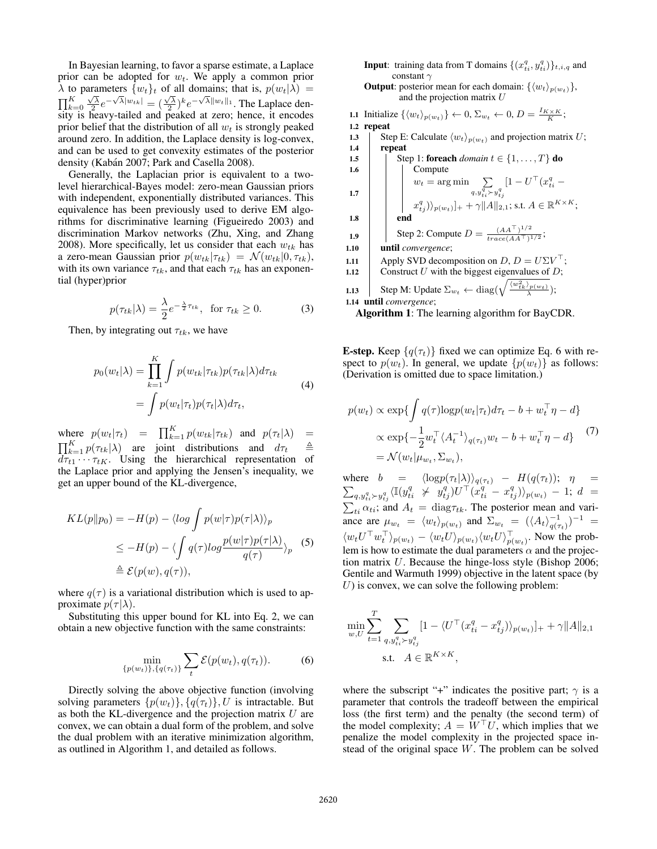In Bayesian learning, to favor a sparse estimate, a Laplace prior can be adopted for  $w_t$ . We apply a common prior  $\lambda$  to parameters  $\{w_t\}_t$  of all domains; that is,  $p(w_t|\lambda)$  =  $\prod_{k=0}^K \frac{\sqrt{\lambda}}{2} e^{-\sqrt{\lambda}||w_{tk}|} = (\frac{\sqrt{\lambda}}{2})^k e^{-\sqrt{\lambda}||w_t||_1}$ . The Laplace density is heavy-tailed and peaked at zero; hence, it encodes prior belief that the distribution of all  $w_t$  is strongly peaked around zero. In addition, the Laplace density is log-convex, and can be used to get convexity estimates of the posterior density (Kabán 2007; Park and Casella 2008).

Generally, the Laplacian prior is equivalent to a twolevel hierarchical-Bayes model: zero-mean Gaussian priors with independent, exponentially distributed variances. This equivalence has been previously used to derive EM algorithms for discriminative learning (Figueiredo 2003) and discrimination Markov networks (Zhu, Xing, and Zhang 2008). More specifically, let us consider that each  $w_{tk}$  has a zero-mean Gaussian prior  $p(w_{tk}|\tau_{tk}) = \mathcal{N}(w_{tk}|0, \tau_{tk}),$ with its own variance  $\tau_{tk}$ , and that each  $\tau_{tk}$  has an exponential (hyper)prior

$$
p(\tau_{tk}|\lambda) = \frac{\lambda}{2} e^{-\frac{\lambda}{2}\tau_{tk}}, \text{ for } \tau_{tk} \ge 0.
$$
 (3)

Then, by integrating out  $\tau_{tk}$ , we have

$$
p_0(w_t|\lambda) = \prod_{k=1}^K \int p(w_{tk}|\tau_{tk}) p(\tau_{tk}|\lambda) d\tau_{tk}
$$
  
= 
$$
\int p(w_t|\tau_t) p(\tau_t|\lambda) d\tau_t,
$$
 (4)

where  $p(w_t|\tau_t) = \prod_{k=1}^K p(w_{tk}|\tau_{tk})$  and  $p(\tau_t|\lambda) =$  $\prod_{k=1}^{K} p(\tau_{tk}|\lambda)$  are joint distributions and  $d\tau_t = \frac{\Delta}{\tau}$  $d\tau_{t1} \cdots \tau_{tK}$ . Using the hierarchical representation of the Laplace prior and applying the Jensen's inequality, we get an upper bound of the KL-divergence,

$$
KL(p||p_0) = -H(p) - \langle \log \int p(w|\tau)p(\tau|\lambda) \rangle_p
$$
  
\n
$$
\leq -H(p) - \langle \int q(\tau) \log \frac{p(w|\tau)p(\tau|\lambda)}{q(\tau)} \rangle_p
$$
 (5)  
\n
$$
\triangleq \mathcal{E}(p(w), q(\tau)),
$$

where  $q(\tau)$  is a variational distribution which is used to approximate  $p(\tau|\lambda)$ .

Substituting this upper bound for KL into Eq. 2, we can obtain a new objective function with the same constraints:

$$
\min_{\{p(w_t)\}, \{q(\tau_t)\}} \sum_t \mathcal{E}(p(w_t), q(\tau_t)).
$$
 (6)

Directly solving the above objective function (involving solving parameters  $\{p(w_t)\}, \{q(\tau_t)\}, U$  is intractable. But as both the KL-divergence and the projection matrix  $U$  are convex, we can obtain a dual form of the problem, and solve the dual problem with an iterative minimization algorithm, as outlined in Algorithm 1, and detailed as follows.

**Input**: training data from T domains  $\{(x_{ti}^q, y_{ti}^q)\}_{t,i,q}$  and constant  $\gamma$ 

**Output**: posterior mean for each domain:  $\{\langle w_t \rangle_{p(w_t)}\}$ , and the projection matrix  $U$ 

1.1 Initialize  $\{\langle w_t \rangle_{p(w_t)}\} \leftarrow 0$ ,  $\Sigma_{w_t} \leftarrow 0$ ,  $D = \frac{I_{K \times K}}{K}$ ; 1.2 repeat 1.3 Step E: Calculate  $\langle w_t \rangle_{p(w_t)}$  and projection matrix U;<br>1.4 Prepeat repeat Step 1: foreach *domain*  $t \in I_1$ ...., Tl do

1.6 Compute w<sup>t</sup> = arg min q,y<sup>q</sup> tiyq tj [1 <sup>−</sup> <sup>U</sup> (x<sup>q</sup> ti − 1.7 xq tj )p(wt)]<sup>+</sup> <sup>+</sup> <sup>γ</sup>A<sup>2</sup>,<sup>1</sup>; s.t. <sup>A</sup> <sup>∈</sup> <sup>R</sup><sup>K</sup>×<sup>K</sup>; 1.8 end Step 2: Compute D = (AA-)1/<sup>2</sup> trace(AA-)1/<sup>2</sup> ; 1.9 1.10 until *convergence*; Apply SVD decomposition on D, D = UΣV 1.11 ; 1.12 Construct U with the biggest eigenvalues of D;

**1.13** Step M: Update  $\Sigma_{w_t} \leftarrow \text{diag}(\sqrt{\frac{\langle w_{tk}^2 \rangle_{p(w_t)}}{\lambda}});$ 1.14 until *convergence*;

Algorithm 1: The learning algorithm for BayCDR.

**E-step.** Keep  $\{q(\tau_t)\}\$  fixed we can optimize Eq. 6 with respect to  $p(w_t)$ . In general, we update  $\{p(w_t)\}\$ as follows: (Derivation is omitted due to space limitation.)

$$
p(w_t) \propto \exp\{\int q(\tau)\log p(w_t|\tau_t)d\tau_t - b + w_t^{\top}\eta - d\}
$$

$$
\propto \exp\{-\frac{1}{2}w_t^{\top}\langle A_t^{-1}\rangle_{q(\tau_t)}w_t - b + w_t^{\top}\eta - d\}
$$

$$
= \mathcal{N}(w_t|\mu_{w_t}, \Sigma_{w_t}),
$$
 (7)

where  $b = \langle \log p(\tau_t|\lambda) \rangle_{q(\tau_t)} - H(q(\tau_t)); \eta =$  $\sum_{q,y_{t i}^q \succ y_{t j}^q} \langle \mathbb{I}(y_{t i}^q \ \succ \ y_{t j}^q) U^\top (x_{t i}^q - x_{t j}^q) \rangle_{p(w_t)} \ - \ 1; \ d \ \ =$  $\sum_{ti} \alpha_{ti}$ ; and  $A_t = \text{diag}\tau_{tk}$ . The posterior mean and variance are  $\mu_{w_t} = \langle w_t \rangle_{p(w_t)}$  and  $\Sigma_{w_t} = (\langle A_t \rangle_{q(\tau_t)}^{-1})^{-1} =$  $\langle w_t U^\dagger w_t^\dagger \rangle_{p(w_t)} - \langle w_t U \rangle_{p(w_t)} \langle w_t U \rangle_{p(w_t)}^\dagger$ . Now the problem is how to estimate the dual parameters  $\alpha$  and the projection matrix U. Because the hinge-loss style (Bishop 2006; Gentile and Warmuth 1999) objective in the latent space (by  $U$ ) is convex, we can solve the following problem:

$$
\min_{w,U} \sum_{t=1}^{T} \sum_{q,y_{ti}^q > y_{tj}^q} [1 - \langle U^{\top} (x_{ti}^q - x_{tj}^q) \rangle_{p(w_t)}]_{+} + \gamma ||A||_{2,1}
$$
  
s.t.  $A \in \mathbb{R}^{K \times K}$ ,

where the subscript "+" indicates the positive part;  $\gamma$  is a parameter that controls the tradeoff between the empirical loss (the first term) and the penalty (the second term) of the model complexity;  $A = W^{\dagger} U$ , which implies that we penalize the model complexity in the projected space instead of the original space W. The problem can be solved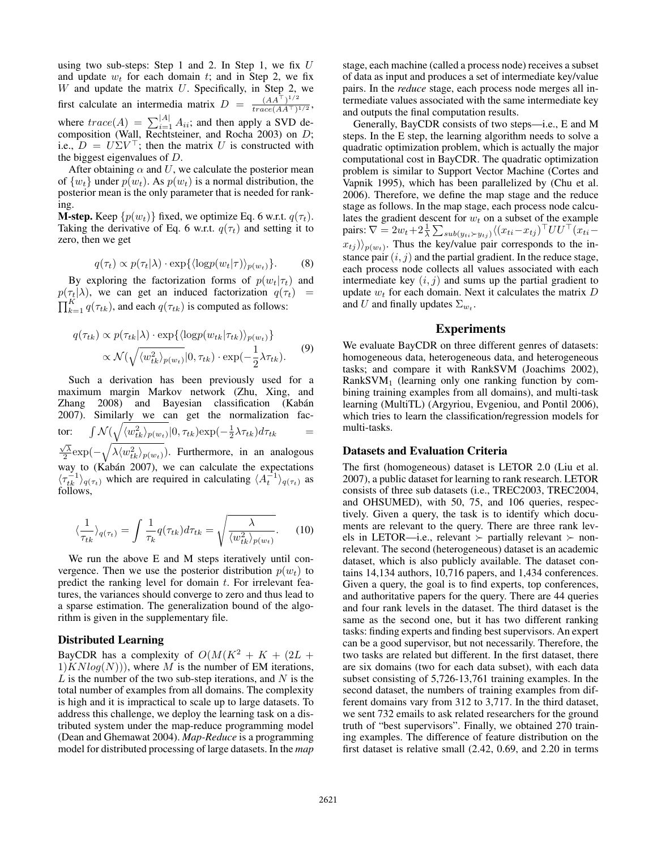using two sub-steps: Step 1 and 2. In Step 1, we fix  $U$ and update  $w_t$  for each domain t; and in Step 2, we fix  $W$  and update the matrix  $U$ . Specifically, in Step 2, we first calculate an intermedia matrix  $D = \frac{(AA^T)^{1/2}}{trace(AA^T)^{1/2}}$  $\frac{(AA^{-})^{\beta}}{trace(AA^{\top})^{1/2}},$ where  $trace(A) = \sum_{i=1}^{|A|} A_{ii}$ ; and then apply a SVD decomposition (Wall, Rechtsteiner, and Rocha 2003) on D; i.e.,  $D = U \Sigma V^{\dagger}$ ; then the matrix U is constructed with the biggest eigenvalues of D.

After obtaining  $\alpha$  and U, we calculate the posterior mean of  $\{w_t\}$  under  $p(w_t)$ . As  $p(w_t)$  is a normal distribution, the posterior mean is the only parameter that is needed for ranking.

**M-step.** Keep  $\{p(w_t)\}\$  fixed, we optimize Eq. 6 w.r.t.  $q(\tau_t)$ . Taking the derivative of Eq. 6 w.r.t.  $q(\tau_t)$  and setting it to zero, then we get

$$
q(\tau_t) \propto p(\tau_t|\lambda) \cdot \exp\{\langle \log p(w_t|\tau) \rangle_{p(w_t)}\}.
$$
 (8)

By exploring the factorization forms of  $p(w_t|\tau_t)$  and  $p(\tau_t|\lambda)$ , we can get an induced factorization  $q(\tau_t)$  =  $\prod_{k=1}^{K} q(\tau_{tk})$ , and each  $q(\tau_{tk})$  is computed as follows:

$$
q(\tau_{tk}) \propto p(\tau_{tk}|\lambda) \cdot \exp\{\langle \log p(w_{tk}|\tau_{tk}) \rangle_{p(w_t)}\} \propto \mathcal{N}(\sqrt{\langle w_{tk}^2 \rangle_{p(w_t)}}|0, \tau_{tk}) \cdot \exp(-\frac{1}{2}\lambda \tau_{tk}).
$$
 (9)

Such a derivation has been previously used for a maximum margin Markov network (Zhu, Xing, and Zhang 2008) and Bayesian classification (Kabán 2007). Similarly we can get the normalization factor:  $\int \mathcal{N}(\sqrt{\langle w_{tk}^2 \rangle_{p(w_t)}}|0,\tau_{tk}) \text{exp}(-\frac{1}{2}\lambda \tau_{tk}) d\tau_{tk}$  =  $\sqrt{\lambda} \exp(-\sqrt{\lambda \langle w_{tk}^2 \rangle_{p(w_t)}})$ . Furthermore, in an analogous way to (Kabán 2007), we can calculate the expectations  $\langle \tau_{tk}^{-1} \rangle_{q(\tau_t)}$  which are required in calculating  $\langle A_t^{-1} \rangle_{q(\tau_t)}$  as follows,

$$
\langle \frac{1}{\tau_{tk}} \rangle_{q(\tau_t)} = \int \frac{1}{\tau_k} q(\tau_{tk}) d\tau_{tk} = \sqrt{\frac{\lambda}{\langle w_{tk}^2 \rangle_{p(w_t)}}}. \tag{10}
$$

We run the above E and M steps iteratively until convergence. Then we use the posterior distribution  $p(w_t)$  to predict the ranking level for domain t. For irrelevant features, the variances should converge to zero and thus lead to a sparse estimation. The generalization bound of the algorithm is given in the supplementary file.

# Distributed Learning

BayCDR has a complexity of  $O(M(K^2 + K + (2L +$  $1|KNlog(N))$ , where M is the number of EM iterations,  $L$  is the number of the two sub-step iterations, and  $N$  is the total number of examples from all domains. The complexity is high and it is impractical to scale up to large datasets. To address this challenge, we deploy the learning task on a distributed system under the map-reduce programming model (Dean and Ghemawat 2004). *Map-Reduce* is a programming model for distributed processing of large datasets. In the *map* stage, each machine (called a process node) receives a subset of data as input and produces a set of intermediate key/value pairs. In the *reduce* stage, each process node merges all intermediate values associated with the same intermediate key and outputs the final computation results.

Generally, BayCDR consists of two steps—i.e., E and M steps. In the E step, the learning algorithm needs to solve a quadratic optimization problem, which is actually the major computational cost in BayCDR. The quadratic optimization problem is similar to Support Vector Machine (Cortes and Vapnik 1995), which has been parallelized by (Chu et al. 2006). Therefore, we define the map stage and the reduce stage as follows. In the map stage, each process node calculates the gradient descent for  $w_t$  on a subset of the example pairs:  $\nabla = 2w_t + 2\frac{1}{\lambda} \sum_{sub(y_{ti} \succ y_{tj})} \langle (x_{ti} - x_{tj})^{\top} U U^{\top} (x_{ti} - x_{ti})^{\top} U U^{\top} (x_{ti} - x_{ti})^{\top}$  $(x_{tj})\rangle_{p(w_t)}$ . Thus the key/value pair corresponds to the instance pair  $(i, j)$  and the partial gradient. In the reduce stage, each process node collects all values associated with each intermediate key  $(i, j)$  and sums up the partial gradient to update  $w_t$  for each domain. Next it calculates the matrix  $D$ and U and finally updates  $\Sigma_{w_t}$ .

# Experiments

We evaluate BayCDR on three different genres of datasets: homogeneous data, heterogeneous data, and heterogeneous tasks; and compare it with RankSVM (Joachims 2002),  $RankSVM<sub>1</sub>$  (learning only one ranking function by combining training examples from all domains), and multi-task learning (MultiTL) (Argyriou, Evgeniou, and Pontil 2006), which tries to learn the classification/regression models for multi-tasks.

# Datasets and Evaluation Criteria

The first (homogeneous) dataset is LETOR 2.0 (Liu et al. 2007), a public dataset for learning to rank research. LETOR consists of three sub datasets (i.e., TREC2003, TREC2004, and OHSUMED), with 50, 75, and 106 queries, respectively. Given a query, the task is to identify which documents are relevant to the query. There are three rank levels in LETOR—i.e., relevant  $\succ$  partially relevant  $\succ$  nonrelevant. The second (heterogeneous) dataset is an academic dataset, which is also publicly available. The dataset contains 14,134 authors, 10,716 papers, and 1,434 conferences. Given a query, the goal is to find experts, top conferences, and authoritative papers for the query. There are 44 queries and four rank levels in the dataset. The third dataset is the same as the second one, but it has two different ranking tasks: finding experts and finding best supervisors. An expert can be a good supervisor, but not necessarily. Therefore, the two tasks are related but different. In the first dataset, there are six domains (two for each data subset), with each data subset consisting of 5,726-13,761 training examples. In the second dataset, the numbers of training examples from different domains vary from 312 to 3,717. In the third dataset, we sent 732 emails to ask related researchers for the ground truth of "best supervisors". Finally, we obtained 270 training examples. The difference of feature distribution on the first dataset is relative small (2.42, 0.69, and 2.20 in terms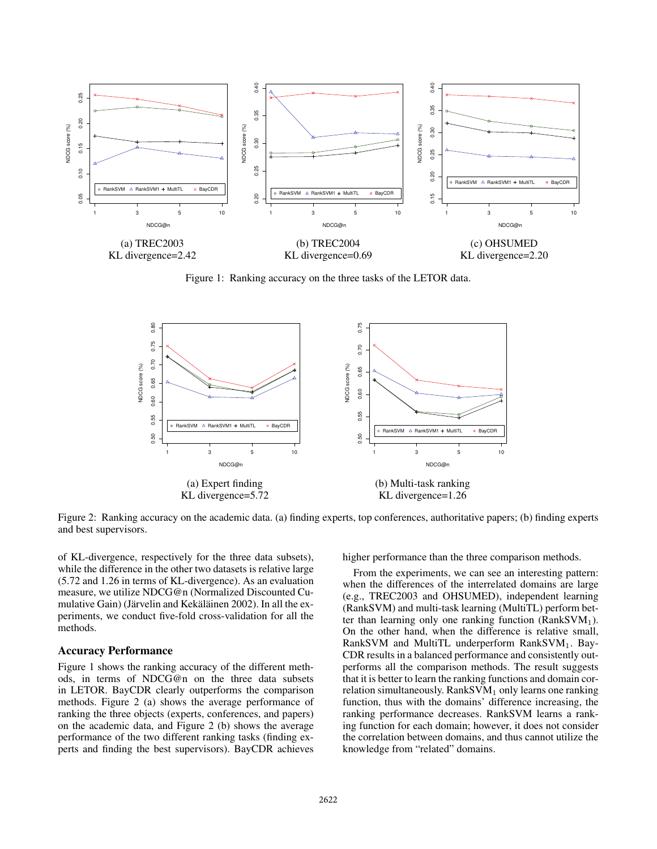

Figure 1: Ranking accuracy on the three tasks of the LETOR data.



Figure 2: Ranking accuracy on the academic data. (a) finding experts, top conferences, authoritative papers; (b) finding experts and best supervisors.

of KL-divergence, respectively for the three data subsets), while the difference in the other two datasets is relative large (5.72 and 1.26 in terms of KL-divergence). As an evaluation measure, we utilize NDCG@n (Normalized Discounted Cumulative Gain) (Järvelin and Kekäläinen 2002). In all the experiments, we conduct five-fold cross-validation for all the methods.

### Accuracy Performance

Figure 1 shows the ranking accuracy of the different methods, in terms of NDCG@n on the three data subsets in LETOR. BayCDR clearly outperforms the comparison methods. Figure 2 (a) shows the average performance of ranking the three objects (experts, conferences, and papers) on the academic data, and Figure 2 (b) shows the average performance of the two different ranking tasks (finding experts and finding the best supervisors). BayCDR achieves

higher performance than the three comparison methods.

From the experiments, we can see an interesting pattern: when the differences of the interrelated domains are large (e.g., TREC2003 and OHSUMED), independent learning (RankSVM) and multi-task learning (MultiTL) perform better than learning only one ranking function ( $RankSVM<sub>1</sub>$ ). On the other hand, when the difference is relative small, RankSVM and MultiTL underperform  $RankSVM_1$ . Bay-CDR results in a balanced performance and consistently outperforms all the comparison methods. The result suggests that it is better to learn the ranking functions and domain correlation simultaneously.  $RankSVM<sub>1</sub>$  only learns one ranking function, thus with the domains' difference increasing, the ranking performance decreases. RankSVM learns a ranking function for each domain; however, it does not consider the correlation between domains, and thus cannot utilize the knowledge from "related" domains.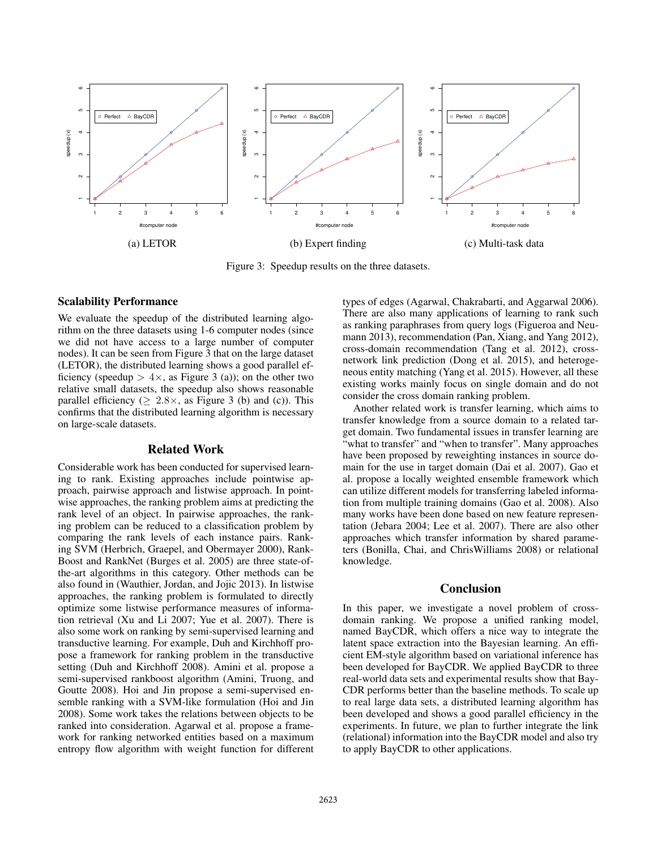

Figure 3: Speedup results on the three datasets.

## Scalability Performance

We evaluate the speedup of the distributed learning algorithm on the three datasets using 1-6 computer nodes (since we did not have access to a large number of computer nodes). It can be seen from Figure 3 that on the large dataset (LETOR), the distributed learning shows a good parallel efficiency (speedup  $> 4 \times$ , as Figure 3 (a)); on the other two relative small datasets, the speedup also shows reasonable parallel efficiency ( $\geq 2.8 \times$ , as Figure 3 (b) and (c)). This confirms that the distributed learning algorithm is necessary on large-scale datasets.

## Related Work

Considerable work has been conducted for supervised learning to rank. Existing approaches include pointwise approach, pairwise approach and listwise approach. In pointwise approaches, the ranking problem aims at predicting the rank level of an object. In pairwise approaches, the ranking problem can be reduced to a classification problem by comparing the rank levels of each instance pairs. Ranking SVM (Herbrich, Graepel, and Obermayer 2000), Rank-Boost and RankNet (Burges et al. 2005) are three state-ofthe-art algorithms in this category. Other methods can be also found in (Wauthier, Jordan, and Jojic 2013). In listwise approaches, the ranking problem is formulated to directly optimize some listwise performance measures of information retrieval (Xu and Li 2007; Yue et al. 2007). There is also some work on ranking by semi-supervised learning and transductive learning. For example, Duh and Kirchhoff propose a framework for ranking problem in the transductive setting (Duh and Kirchhoff 2008). Amini et al. propose a semi-supervised rankboost algorithm (Amini, Truong, and Goutte 2008). Hoi and Jin propose a semi-supervised ensemble ranking with a SVM-like formulation (Hoi and Jin 2008). Some work takes the relations between objects to be ranked into consideration. Agarwal et al. propose a framework for ranking networked entities based on a maximum entropy flow algorithm with weight function for different

types of edges (Agarwal, Chakrabarti, and Aggarwal 2006). There are also many applications of learning to rank such as ranking paraphrases from query logs (Figueroa and Neumann 2013), recommendation (Pan, Xiang, and Yang 2012), cross-domain recommendation (Tang et al. 2012), crossnetwork link prediction (Dong et al. 2015), and heterogeneous entity matching (Yang et al. 2015). However, all these existing works mainly focus on single domain and do not consider the cross domain ranking problem.

Another related work is transfer learning, which aims to transfer knowledge from a source domain to a related target domain. Two fundamental issues in transfer learning are "what to transfer" and "when to transfer". Many approaches have been proposed by reweighting instances in source domain for the use in target domain (Dai et al. 2007). Gao et al. propose a locally weighted ensemble framework which can utilize different models for transferring labeled information from multiple training domains (Gao et al. 2008). Also many works have been done based on new feature representation (Jebara 2004; Lee et al. 2007). There are also other approaches which transfer information by shared parameters (Bonilla, Chai, and ChrisWilliams 2008) or relational knowledge.

# Conclusion

In this paper, we investigate a novel problem of crossdomain ranking. We propose a unified ranking model, named BayCDR, which offers a nice way to integrate the latent space extraction into the Bayesian learning. An efficient EM-style algorithm based on variational inference has been developed for BayCDR. We applied BayCDR to three real-world data sets and experimental results show that Bay-CDR performs better than the baseline methods. To scale up to real large data sets, a distributed learning algorithm has been developed and shows a good parallel efficiency in the experiments. In future, we plan to further integrate the link (relational) information into the BayCDR model and also try to apply BayCDR to other applications.